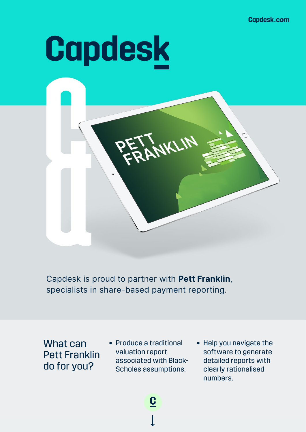**Capdesk.com** 

# **Capdesk**



Capdesk is proud to partner with **Pett Franklin**, specialists in share-based payment reporting.

What can Pett Franklin do for you?

• Produce a traditional valuation report associated with Black-Scholes assumptions.

↓

 $\underline{\mathbf{C}}$ 

• Help you navigate the software to generate detailed reports with clearly rationalised numbers.